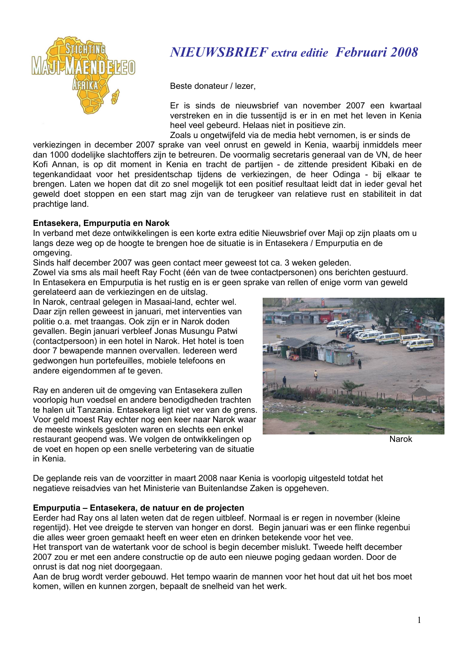

## **NIEUWSBRIEF** extra editie Februari 2008

Beste donateur / lezer,

Er is sinds de nieuwsbrief van november 2007 een kwartaal verstreken en in die tussentijd is er in en met het leven in Kenia heel veel gebeurd. Helaas niet in positieve zin.

Zoals u ongetwijfeld via de media hebt vernomen, is er sinds de verkiezingen in december 2007 sprake van veel onrust en geweld in Kenia, waarbij inmiddels meer dan 1000 dodelijke slachtoffers zijn te betreuren. De voormalig secretaris generaal van de VN, de heer Kofi Annan, is op dit moment in Kenia en tracht de partijen - de zittende president Kibaki en de tegenkandidaat voor het presidentschap tijdens de verkiezingen, de heer Odinga - bij elkaar te brengen. Laten we hopen dat dit zo snel mogelijk tot een positief resultaat leidt dat in jeder geval het geweld doet stoppen en een start mag zijn van de terugkeer van relatieve rust en stabiliteit in dat prachtige land.

### Entasekera, Empurputia en Narok

In verband met deze ontwikkelingen is een korte extra editie Nieuwsbrief over Maji op zijn plaats om u langs deze weg op de hoogte te brengen hoe de situatie is in Entasekera / Empurputia en de omaevina.

Sinds half december 2007 was geen contact meer geweest tot ca. 3 weken geleden.

Zowel via sms als mail heeft Ray Focht (één van de twee contactpersonen) ons berichten gestuurd. In Entasekera en Empurputia is het rustig en is er geen sprake van rellen of enige vorm van geweld gerelateerd aan de verkiezingen en de uitslag.

In Narok, centraal gelegen in Masaai-land, echter wel. Daar zijn rellen geweest in januari, met interventies van politie o.a. met traangas. Ook zijn er in Narok doden gevallen. Begin januari verbleef Jonas Musungu Patwi (contactpersoon) in een hotel in Narok. Het hotel is toen door 7 bewapende mannen overvallen. Iedereen werd gedwongen hun portefeuilles, mobiele telefoons en andere eigendommen af te geven.

Ray en anderen uit de omgeving van Entasekera zullen voorlopig hun voedsel en andere benodigdheden trachten te halen uit Tanzania. Entasekera ligt niet ver van de grens. Voor geld moest Ray echter nog een keer naar Narok waar de meeste winkels gesloten waren en slechts een enkel restaurant geopend was. We volgen de ontwikkelingen op de voet en hopen op een snelle verbetering van de situatie in Kenia.



**Narok** 

De geplande reis van de voorzitter in maart 2008 naar Kenia is voorlopig uitgesteld totdat het negatieve reisadvies van het Ministerie van Buitenlandse Zaken is opgeheven.

### Empurputia - Entasekera, de natuur en de projecten

Eerder had Ray ons al laten weten dat de regen uitbleef. Normaal is er regen in november (kleine regentijd). Het vee dreigde te sterven van honger en dorst. Begin januari was er een flinke regenbui die alles weer groen gemaakt heeft en weer eten en drinken betekende voor het vee. Het transport van de watertank voor de school is begin december mislukt. Tweede helft december

2007 zou er met een andere constructie op de auto een nieuwe poging gedaan worden. Door de onrust is dat nog niet doorgegaan.

Aan de brug wordt verder gebouwd. Het tempo waarin de mannen voor het hout dat uit het bos moet komen, willen en kunnen zorgen, bepaalt de snelheid van het werk.